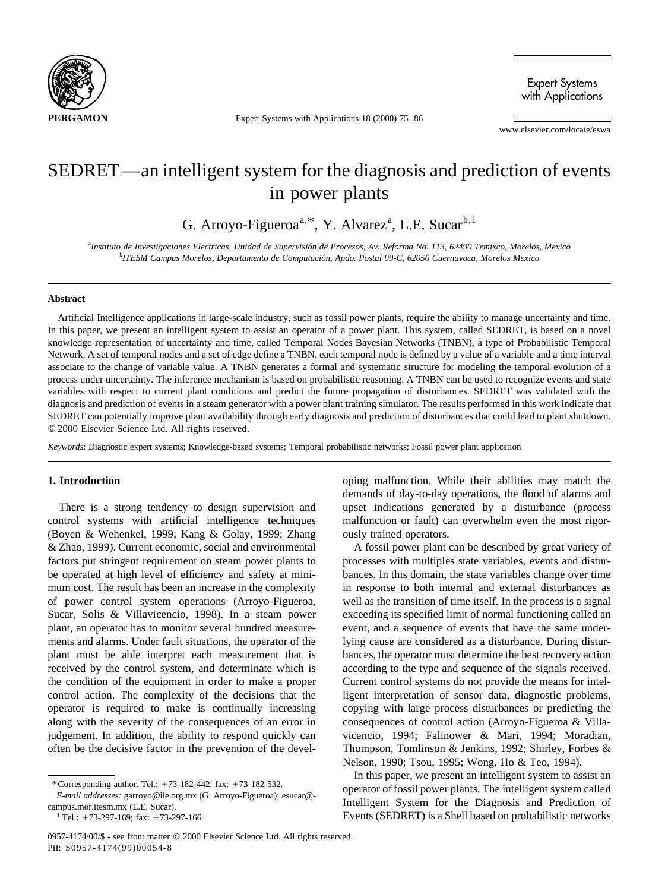

Expert Systems with Applications 18 (2000) 75–86

Expert Systems with Applications

www.elsevier.com/locate/eswa

# SEDRET—an intelligent system for the diagnosis and prediction of events in power plants

G. Arroyo-Figueroa<sup>a,\*</sup>, Y. Alvarez<sup>a</sup>, L.E. Sucar<sup>b,1</sup>

a *Instituto de Investigaciones Electricas, Unidad de Supervisio´n de Procesos, Av. Reforma No. 113, 62490 Temixco, Morelos, Mexico* b *ITESM Campus Morelos, Departamento de Computacio´n, Apdo. Postal 99-C, 62050 Cuernavaca, Morelos Mexico*

#### **Abstract**

Artificial Intelligence applications in large-scale industry, such as fossil power plants, require the ability to manage uncertainty and time. In this paper, we present an intelligent system to assist an operator of a power plant. This system, called SEDRET, is based on a novel knowledge representation of uncertainty and time, called Temporal Nodes Bayesian Networks (TNBN), a type of Probabilistic Temporal Network. A set of temporal nodes and a set of edge define a TNBN, each temporal node is defined by a value of a variable and a time interval associate to the change of variable value. A TNBN generates a formal and systematic structure for modeling the temporal evolution of a process under uncertainty. The inference mechanism is based on probabilistic reasoning. A TNBN can be used to recognize events and state variables with respect to current plant conditions and predict the future propagation of disturbances. SEDRET was validated with the diagnosis and prediction of events in a steam generator with a power plant training simulator. The results performed in this work indicate that SEDRET can potentially improve plant availability through early diagnosis and prediction of disturbances that could lead to plant shutdown.  $© 2000 Elsevier Science Ltd. All rights reserved.$ 

*Keywords*: Diagnostic expert systems; Knowledge-based systems; Temporal probabilistic networks; Fossil power plant application

### **1. Introduction**

There is a strong tendency to design supervision and control systems with artificial intelligence techniques (Boyen & Wehenkel, 1999; Kang & Golay, 1999; Zhang & Zhao, 1999). Current economic, social and environmental factors put stringent requirement on steam power plants to be operated at high level of efficiency and safety at minimum cost. The result has been an increase in the complexity of power control system operations (Arroyo-Figueroa, Sucar, Solis & Villavicencio, 1998). In a steam power plant, an operator has to monitor several hundred measurements and alarms. Under fault situations, the operator of the plant must be able interpret each measurement that is received by the control system, and determinate which is the condition of the equipment in order to make a proper control action. The complexity of the decisions that the operator is required to make is continually increasing along with the severity of the consequences of an error in judgement. In addition, the ability to respond quickly can often be the decisive factor in the prevention of the devel-

\* Corresponding author. Tel.:  $+73-182-442$ ; fax:  $+73-182-532$ .

*E-mail addresses:* garroyo@iie.org.mx (G. Arroyo-Figueroa); esucar@ campus.mor.itesm.mx (L.E. Sucar).

oping malfunction. While their abilities may match the demands of day-to-day operations, the flood of alarms and upset indications generated by a disturbance (process malfunction or fault) can overwhelm even the most rigorously trained operators.

A fossil power plant can be described by great variety of processes with multiples state variables, events and disturbances. In this domain, the state variables change over time in response to both internal and external disturbances as well as the transition of time itself. In the process is a signal exceeding its specified limit of normal functioning called an event, and a sequence of events that have the same underlying cause are considered as a disturbance. During disturbances, the operator must determine the best recovery action according to the type and sequence of the signals received. Current control systems do not provide the means for intelligent interpretation of sensor data, diagnostic problems, copying with large process disturbances or predicting the consequences of control action (Arroyo-Figueroa & Villavicencio, 1994; Falinower & Mari, 1994; Moradian, Thompson, Tomlinson & Jenkins, 1992; Shirley, Forbes & Nelson, 1990; Tsou, 1995; Wong, Ho & Teo, 1994).

In this paper, we present an intelligent system to assist an operator of fossil power plants. The intelligent system called Intelligent System for the Diagnosis and Prediction of Events (SEDRET) is a Shell based on probabilistic networks

<sup>&</sup>lt;sup>1</sup> Tel.:  $+73-297-169$ ; fax:  $+73-297-166$ .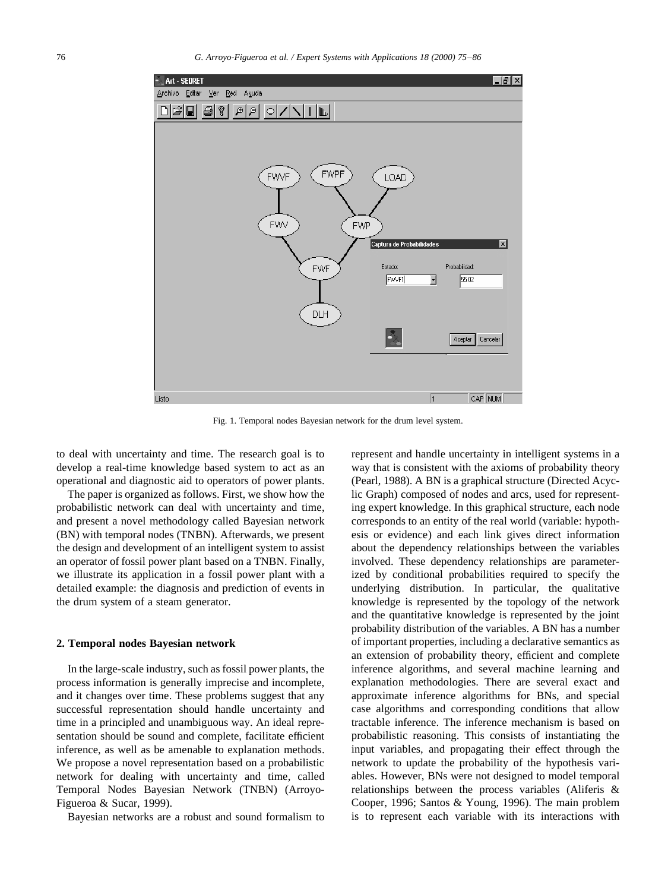

Fig. 1. Temporal nodes Bayesian network for the drum level system.

to deal with uncertainty and time. The research goal is to develop a real-time knowledge based system to act as an operational and diagnostic aid to operators of power plants.

The paper is organized as follows. First, we show how the probabilistic network can deal with uncertainty and time, and present a novel methodology called Bayesian network (BN) with temporal nodes (TNBN). Afterwards, we present the design and development of an intelligent system to assist an operator of fossil power plant based on a TNBN. Finally, we illustrate its application in a fossil power plant with a detailed example: the diagnosis and prediction of events in the drum system of a steam generator.

### **2. Temporal nodes Bayesian network**

In the large-scale industry, such as fossil power plants, the process information is generally imprecise and incomplete, and it changes over time. These problems suggest that any successful representation should handle uncertainty and time in a principled and unambiguous way. An ideal representation should be sound and complete, facilitate efficient inference, as well as be amenable to explanation methods. We propose a novel representation based on a probabilistic network for dealing with uncertainty and time, called Temporal Nodes Bayesian Network (TNBN) (Arroyo-Figueroa & Sucar, 1999).

Bayesian networks are a robust and sound formalism to

represent and handle uncertainty in intelligent systems in a way that is consistent with the axioms of probability theory (Pearl, 1988). A BN is a graphical structure (Directed Acyclic Graph) composed of nodes and arcs, used for representing expert knowledge. In this graphical structure, each node corresponds to an entity of the real world (variable: hypothesis or evidence) and each link gives direct information about the dependency relationships between the variables involved. These dependency relationships are parameterized by conditional probabilities required to specify the underlying distribution. In particular, the qualitative knowledge is represented by the topology of the network and the quantitative knowledge is represented by the joint probability distribution of the variables. A BN has a number of important properties, including a declarative semantics as an extension of probability theory, efficient and complete inference algorithms, and several machine learning and explanation methodologies. There are several exact and approximate inference algorithms for BNs, and special case algorithms and corresponding conditions that allow tractable inference. The inference mechanism is based on probabilistic reasoning. This consists of instantiating the input variables, and propagating their effect through the network to update the probability of the hypothesis variables. However, BNs were not designed to model temporal relationships between the process variables (Aliferis & Cooper, 1996; Santos & Young, 1996). The main problem is to represent each variable with its interactions with